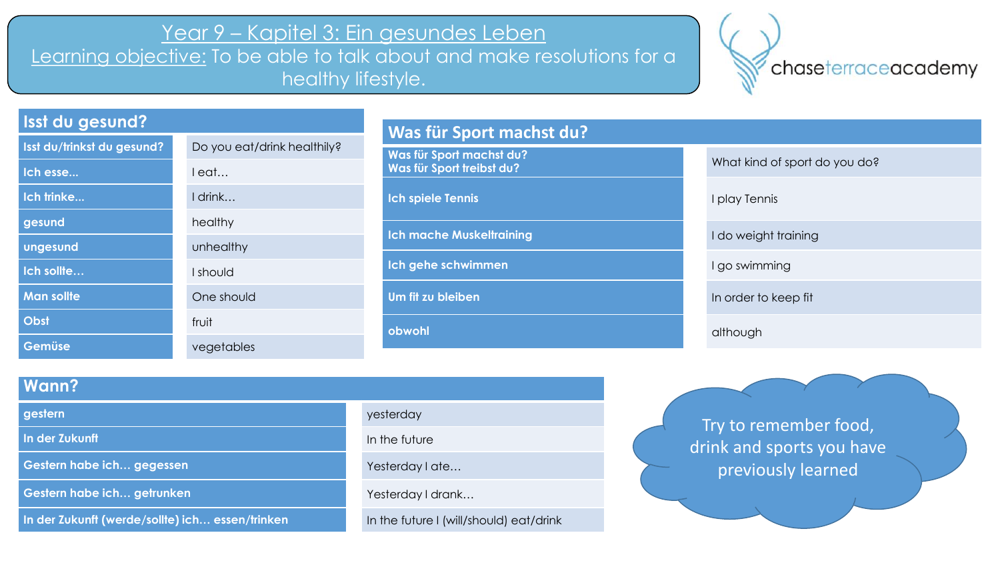# Year 9 – Kapitel 3: Ein gesundes Leben

Learning objective: To be able to talk about and make resolutions for a healthy lifestyle.



## **Isst du gesund?**

| Isst du/trinkst du gesund? | Do you eat/drink healthily? |
|----------------------------|-----------------------------|
| Ich esse                   | leat                        |
| Ich trinke                 | I drink                     |
| gesund                     | healthy                     |
| ungesund                   | unhealthy                   |
| Ich sollte                 | I should                    |
| <b>Man sollte</b>          | One should                  |
| Obst                       | fruit                       |
| Gemüse                     | vegetables                  |
|                            |                             |

## **Was für Sport machst du?**

**Was für Sport machst du? Was für Sport frietist du?** What kind of sport do you do?

**Ich spiele Tennis** I play Tennis

**Ich mache Muskeltraining I do weight training** 

**Ich gehe schwimmen** I go swimming

**Um fit zu bleiben** In order to keep fit

**obwohl** although the contract of the contract of the contract of the contract of the contract of the contract of the contract of the contract of the contract of the contract of the contract of the contract of the contract

### **Wann?**

**In der Zukunft In the future In the future** 

**Gestern habe ich… gegessen** Westerday I at the Yesterday I ate…

**Gestern habe ich… getrunken** Yesterday I drank…

**In der Zukunft (werde/sollte) ich... essen/trinken<br>In the future I (will/should) eat/drink** 

# **gestern** yesterday and a strategies of the strategies of the strategies of the strategies of the strategies of the strategies of the strategies of the strategies of the strategies of the strategies of the strategies of th

Try to remember food, drink and sports you have previously learned